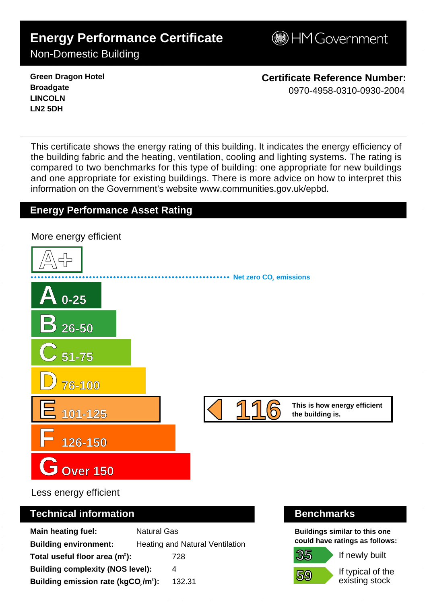# **Energy Performance Certificate**

**BHM Government** 

Non-Domestic Building

**Green Dragon Hotel Broadgate LINCOLN LN2 5DH**

**Certificate Reference Number:** 0970-4958-0310-0930-2004

This certificate shows the energy rating of this building. It indicates the energy efficiency of the building fabric and the heating, ventilation, cooling and lighting systems. The rating is compared to two benchmarks for this type of building: one appropriate for new buildings and one appropriate for existing buildings. There is more advice on how to interpret this information on the Government's websit[e www.communities.gov.uk/epbd.](http://www.communities.gov.uk/epbd)

## **Energy Performance Asset Rating**

**A+ A 0-25 B 26-50 C 51-75 D 76-100 E 101-125 F 126-150 GOver 150 116** This is how energy efficient **Net zero CO**, emissions More energy efficient 1 1 6 - 0 9 7 0 - 4 9 5 8 - 0 3 1 0 - 0 9 3 0 - 2 0 0 4 - S K 6 2 1 2 3 2 3 1 2 6 2 0 - D C L G x E P C g e n 2 0 0

Less energy efficient

### **Technical information Benchmarks**

| <b>Main heating fuel:</b>                                    | <b>Natural Gas</b> |                                        |
|--------------------------------------------------------------|--------------------|----------------------------------------|
| <b>Building environment:</b>                                 |                    | <b>Heating and Natural Ventilation</b> |
| Total useful floor area $(m2)$ :                             |                    | 728                                    |
| <b>Building complexity (NOS level):</b>                      |                    | 4                                      |
| Building emission rate (kgCO <sub>2</sub> /m <sup>2</sup> ): |                    | 132.31                                 |

**Buildings similar to this one could have ratings as follows:**

If newly built

**59**

**35**

If typical of the existing stock